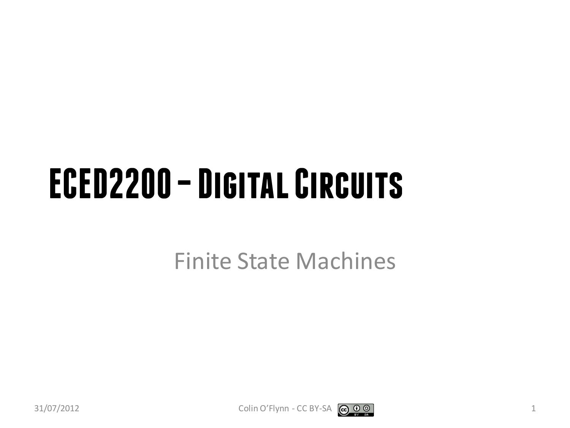#### **ECED2200 –Digital Circuits**

Finite State Machines



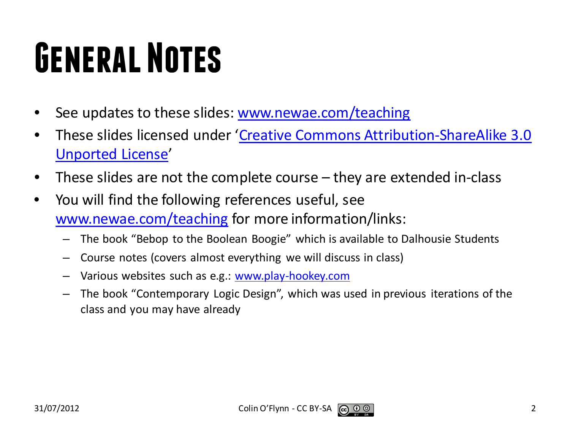## **General Notes**

- See updates to these slides: [www.newae.com/teaching](http://www.newae.com/teaching)
- These slides licensed under '[Creative Commons Attribution-ShareAlike](http://creativecommons.org/licenses/by-sa/3.0/) 3.0 [Unported](http://creativecommons.org/licenses/by-sa/3.0/) License'
- These slides are not the complete course they are extended in-class
- You will find the following references useful, see [www.newae.com/teaching](http://www.newae.com/teaching) for more information/links:
	- The book "Bebop to the Boolean Boogie" which is available to Dalhousie Students
	- Course notes (covers almost everything we will discuss in class)
	- Various websites such as e.g.: [www.play-hookey.com](http://www.play-hookey.com/)
	- The book "Contemporary Logic Design", which was used in previous iterations of the class and you may have already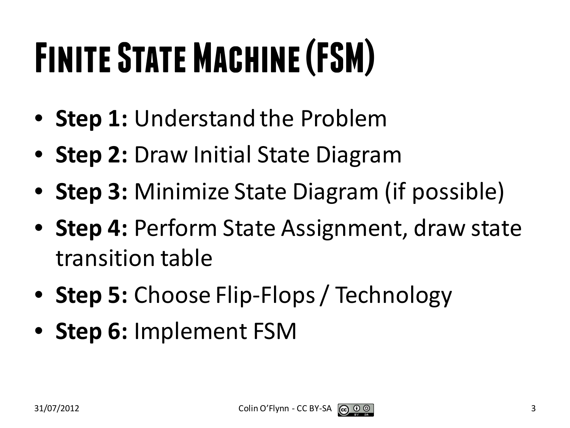# **Finite State Machine (FSM)**

- **Step 1:** Understand the Problem
- **Step 2:** Draw Initial State Diagram
- **Step 3:** Minimize State Diagram (if possible)
- **Step 4:** Perform State Assignment, draw state transition table
- **Step 5:** Choose Flip-Flops / Technology
- **Step 6:** Implement FSM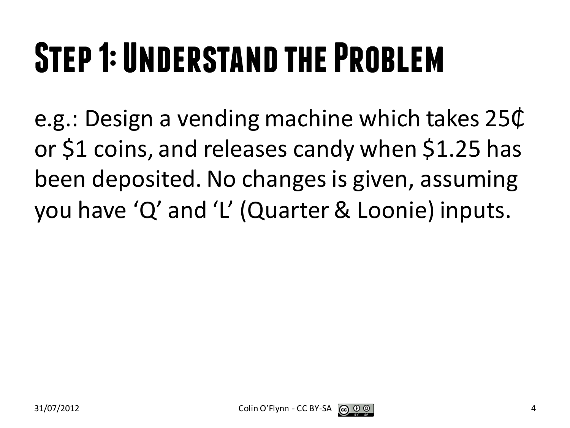## **Step 1: Understand the Problem**

e.g.: Design a vending machine which takes 25₵ or \$1 coins, and releases candy when \$1.25 has been deposited. No changes is given, assuming you have 'Q' and 'L' (Quarter & Loonie) inputs.

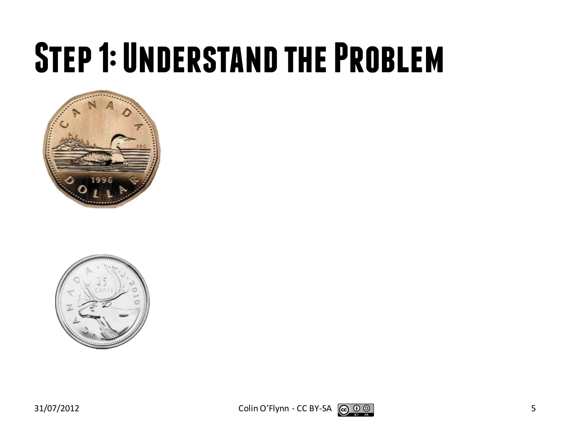#### **Step 1: Understand the Problem**



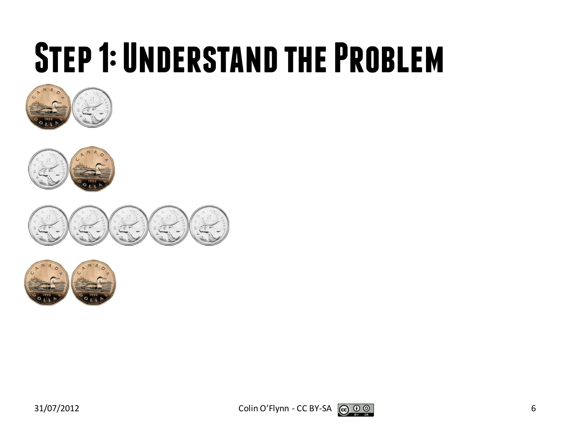#### **Step 1: Understand the Problem**











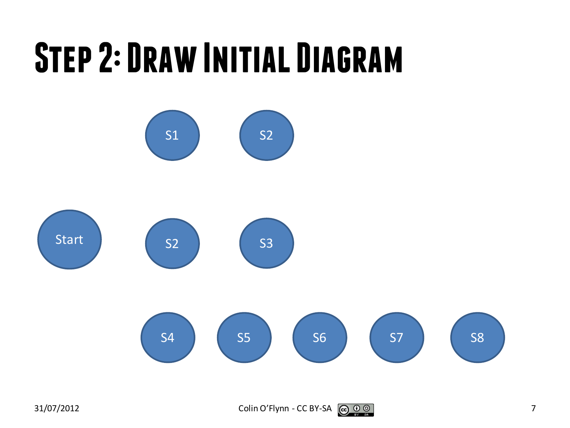## **Step 2: Draw Initial Diagram**



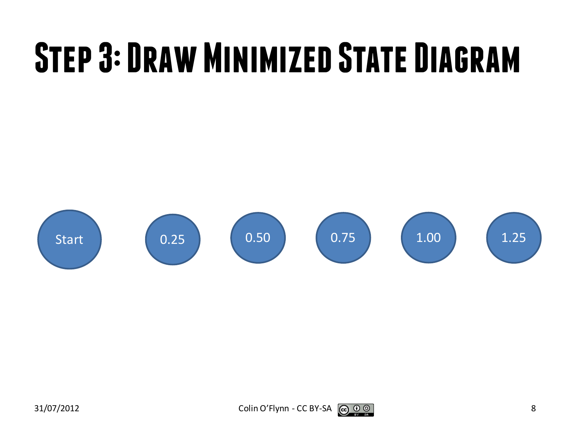## **Step 3: Draw Minimized State Diagram**

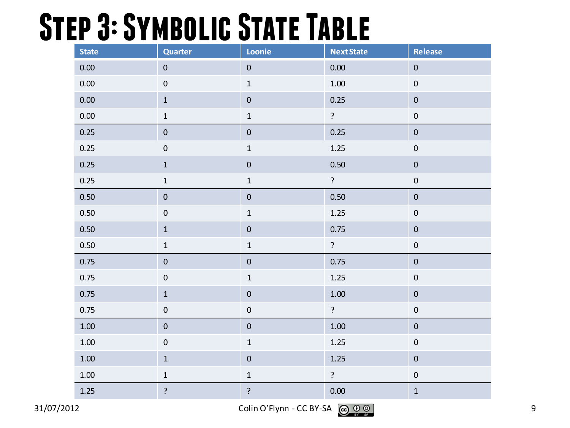#### **Step 3: Symbolic State Table**

| <b>State</b> | <b>Quarter</b> | Loonie         | <b>Next State</b> | Release          |
|--------------|----------------|----------------|-------------------|------------------|
| 0.00         | $\pmb{0}$      |                | 0.00              | $\pmb{0}$        |
| $0.00\,$     | $\pmb{0}$      | $\mathbf 1$    | $1.00\,$          | $\pmb{0}$        |
| $0.00\,$     | $\mathbf 1$    | $\pmb{0}$      | 0.25              | $\pmb{0}$        |
| 0.00         | $\mathbf 1$    | $\mathbf 1$    | $\ddot{?}$        | $\pmb{0}$        |
| 0.25         | $\pmb{0}$      | $\pmb{0}$      | 0.25              | $\pmb{0}$        |
| 0.25         | $\pmb{0}$      | $\mathbf 1$    | 1.25              | $\pmb{0}$        |
| 0.25         | $\mathbf 1$    | $\pmb{0}$      | 0.50              | $\pmb{0}$        |
| 0.25         | $\mathbf 1$    | $\mathbf 1$    | $\tilde{.}$       | $\pmb{0}$        |
| 0.50         | $\pmb{0}$      | $\pmb{0}$      | 0.50              | $\mathbf 0$      |
| 0.50         | $\pmb{0}$      | $\mathbf 1$    | 1.25              | $\pmb{0}$        |
| 0.50         | $\mathbf 1$    | $\pmb{0}$      | 0.75              | $\pmb{0}$        |
| 0.50         | $\mathbf 1$    | $\mathbf 1$    | $\overline{?}$    | $\pmb{0}$        |
| 0.75         | $\pmb{0}$      | $\pmb{0}$      | 0.75              | $\boldsymbol{0}$ |
| 0.75         | $\pmb{0}$      | $\mathbf 1$    | $1.25$            | $\pmb{0}$        |
| 0.75         | $\mathbf 1$    | $\pmb{0}$      | $1.00\,$          | $\pmb{0}$        |
| 0.75         | $\pmb{0}$      | $\pmb{0}$      | ?                 | $\boldsymbol{0}$ |
| $1.00\,$     | $\pmb{0}$      | $\pmb{0}$      | $1.00\,$          | $\pmb{0}$        |
| $1.00\,$     | $\pmb{0}$      | $\mathbf 1$    | $1.25$            | $\pmb{0}$        |
| $1.00\,$     | $\mathbf 1$    | $\pmb{0}$      | $1.25$            | $\pmb{0}$        |
| $1.00\,$     | $\mathbf 1$    | $\mathbf 1$    | ?                 | $\pmb{0}$        |
| $1.25$       | $\overline{?}$ | $\overline{?}$ | 0.00              | $1\,$            |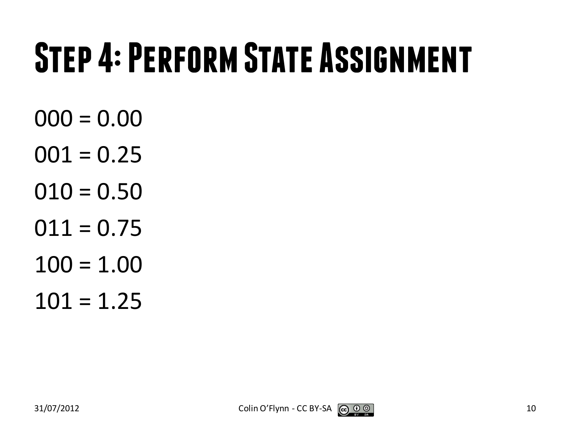## **Step 4: Perform State Assignment**

- $000 = 0.00$
- $001 = 0.25$
- $010 = 0.50$
- $011 = 0.75$
- $100 = 1.00$
- $101 = 1.25$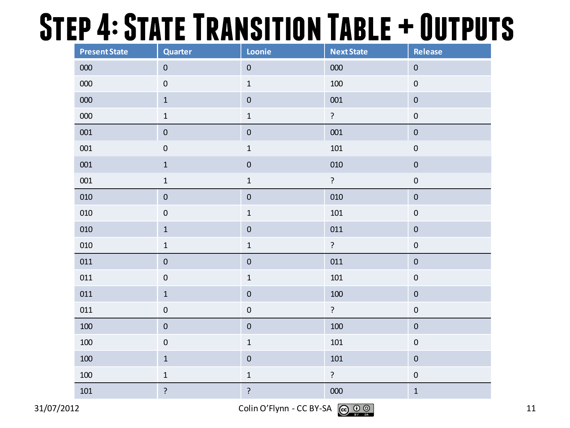#### **Step 4: State Transition Table + Outputs**

| <b>Present State</b> | <b>Quarter</b>   | Loonie      | <b>Next State</b> | Release     |  |
|----------------------|------------------|-------------|-------------------|-------------|--|
| 000                  | $\boldsymbol{0}$ | $\pmb{0}$   | 000               | $\pmb{0}$   |  |
| $000\,$              | $\pmb{0}$        | $\mathbf 1$ | 100               | $\pmb{0}$   |  |
| 000                  | $\mathbf 1$      | $\pmb{0}$   | 001               | $\pmb{0}$   |  |
| 000                  | $\mathbf 1$      | $\mathbf 1$ | $\ddot{?}$        | $\pmb{0}$   |  |
| 001                  | $\pmb{0}$        | $\pmb{0}$   | 001               | $\pmb{0}$   |  |
| 001                  | $\boldsymbol{0}$ | $\mathbf 1$ | $101\,$           | $\pmb{0}$   |  |
| ${\bf 001}$          | $\mathbf 1$      | $\pmb{0}$   | 010               | $\pmb{0}$   |  |
| 001                  | $\mathbf 1$      | $\mathbf 1$ | $\mathbf{S}$      | $\pmb{0}$   |  |
| 010                  | $\pmb{0}$        | $\pmb{0}$   | 010               | $\pmb{0}$   |  |
| 010                  | $\pmb{0}$        | $\mathbf 1$ | $101\,$           | $\pmb{0}$   |  |
| 010                  | $\mathbf 1$      | $\pmb{0}$   | 011               | $\pmb{0}$   |  |
| 010                  | $\mathbf 1$      | $\mathbf 1$ | $\overline{?}$    | $\pmb{0}$   |  |
| 011                  | $\pmb{0}$        | $\pmb{0}$   | 011               | $\pmb{0}$   |  |
| 011                  | $\boldsymbol{0}$ | $\mathbf 1$ | $101\,$           | $\pmb{0}$   |  |
| 011                  | $\mathbf 1$      | $\pmb{0}$   | $100\,$           | $\pmb{0}$   |  |
| 011                  | $\pmb{0}$        | $\pmb{0}$   | $\ddot{?}$        | $\pmb{0}$   |  |
| $100\,$              | $\pmb{0}$        | $\pmb{0}$   | $100\,$           | $\pmb{0}$   |  |
| $100\,$              | $\pmb{0}$        | $\mathbf 1$ | $101\,$           | $\pmb{0}$   |  |
| 100                  | $\mathbf 1$      | $\pmb{0}$   | $101\,$           | $\pmb{0}$   |  |
| 100                  | $\mathbf 1$      | $\mathbf 1$ | $\ddot{?}$        | $\pmb{0}$   |  |
| $101\,$              | $\overline{?}$   | ?           | 000               | $\mathbf 1$ |  |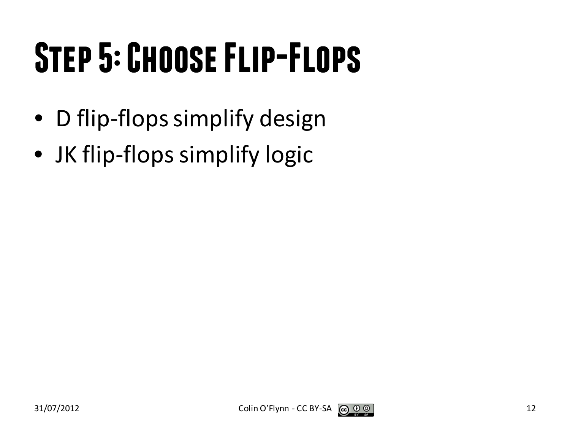## **Step 5: Choose Flip-Flops**

- D flip-flops simplify design
- JK flip-flops simplify logic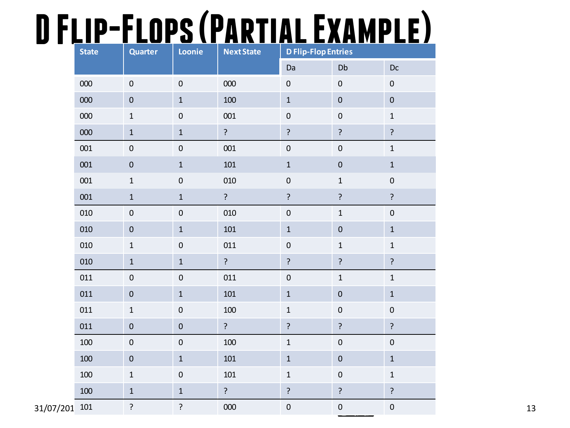#### **D Flip-Flops (Partial Example)**

|               | <b>State</b> | <b>Quarter</b>   | Loonie           | <b>Next State</b> | <b>D Flip-Flop Entries</b> |                  |                |
|---------------|--------------|------------------|------------------|-------------------|----------------------------|------------------|----------------|
|               |              |                  |                  |                   | Da                         | Db               | $Dc$           |
|               | 000          | $\boldsymbol{0}$ | $\boldsymbol{0}$ | 000               | $\boldsymbol{0}$           | $\pmb{0}$        | $\pmb{0}$      |
|               | 000          | $\pmb{0}$        | $\mathbf 1$      | 100               | $\mathbf 1$                | $\pmb{0}$        | $\mathbf 0$    |
|               | 000          | $\mathbf 1$      | $\pmb{0}$        | 001               | $\pmb{0}$                  | $\pmb{0}$        | $\mathbf{1}$   |
|               | 000          | $\,1\,$          | $\mathbf 1$      | $\overline{?}$    | $\overline{?}$             | $\overline{?}$   | $\overline{?}$ |
|               | 001          | $\boldsymbol{0}$ | $\boldsymbol{0}$ | 001               | $\pmb{0}$                  | $\boldsymbol{0}$ | $\mathbf 1$    |
|               | 001          | $\pmb{0}$        | $\mathbf{1}$     | 101               | $\mathbf 1$                | $\pmb{0}$        | $\mathbf{1}$   |
|               | 001          | $\mathbf 1$      | $\boldsymbol{0}$ | 010               | $\pmb{0}$                  | $\mathbf 1$      | $\pmb{0}$      |
|               | 001          | $\mathbf 1$      | $\mathbf 1$      | $\overline{?}$    | $\ddot{?}$                 | $\overline{?}$   | ?              |
|               | 010          | $\mathbf 0$      | $\pmb{0}$        | 010               | $\pmb{0}$                  | $\,1\,$          | $\pmb{0}$      |
|               | 010          | $\pmb{0}$        | $\mathbf 1$      | $101\,$           | $\mathbf 1$                | $\pmb{0}$        | $\mathbf 1$    |
|               | 010          | $\mathbf 1$      | $\boldsymbol{0}$ | 011               | $\pmb{0}$                  | $\,1\,$          | $\mathbf 1$    |
|               | 010          | $\mathbf 1$      | $\mathbf 1$      | $\overline{?}$    | $\ddot{?}$                 | $\overline{?}$   | $\overline{?}$ |
|               | 011          | $\pmb{0}$        | $\pmb{0}$        | 011               | $\pmb{0}$                  | $\mathbf 1$      | $\mathbf 1$    |
|               | 011          | $\pmb{0}$        | $\mathbf 1$      | 101               | $\mathbf{1}$               | $\pmb{0}$        | $\mathbf 1$    |
|               | 011          | $\mathbf 1$      | $\pmb{0}$        | 100               | $\,1\,$                    | $\pmb{0}$        | $\pmb{0}$      |
|               | 011          | $\pmb{0}$        | $\pmb{0}$        | $\overline{?}$    | $\overline{?}$             | $\overline{?}$   | $\overline{?}$ |
|               | 100          | $\boldsymbol{0}$ | $\boldsymbol{0}$ | 100               | $\mathbf 1$                | $\pmb{0}$        | $\pmb{0}$      |
|               | 100          | $\pmb{0}$        | $\mathbf 1$      | 101               | $1\,$                      | $\pmb{0}$        | $\mathbf 1$    |
|               | 100          | $\mathbf 1$      | $\pmb{0}$        | 101               | $\mathbf 1$                | $\boldsymbol{0}$ | $\mathbf 1$    |
|               | 100          | $\mathbf 1$      | $\mathbf 1$      | $\overline{?}$    | $\overline{?}$             | $\overline{?}$   | $\ddot{?}$     |
| 31/07/201 101 |              | ?                | $\overline{?}$   | 000               | $\pmb{0}$                  | $\pmb{0}$        | $\mathbf 0$    |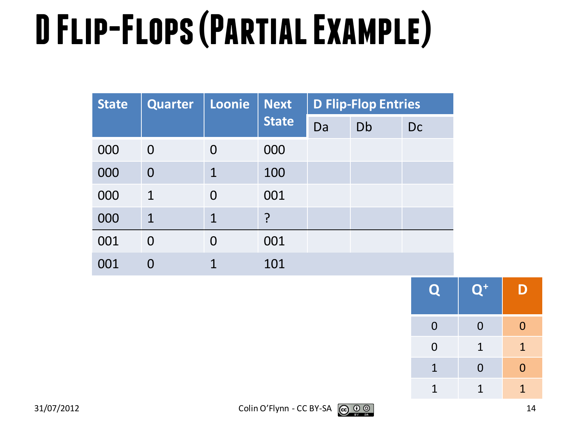# **D Flip-Flops (Partial Example)**

| <b>State</b> | <b>Quarter</b> | Loonie       | <b>Next</b>  |    | <b>D Flip-Flop Entries</b> |    |  |
|--------------|----------------|--------------|--------------|----|----------------------------|----|--|
|              |                |              | <b>State</b> | Da | Db                         | Dc |  |
| 000          | $\overline{0}$ | 0            | 000          |    |                            |    |  |
| 000          | $\overline{0}$ | $\mathbf 1$  | 100          |    |                            |    |  |
| 000          | $\mathbf{1}$   | $\Omega$     | 001          |    |                            |    |  |
| 000          | $\mathbf{1}$   | $\mathbf{1}$ | ?            |    |                            |    |  |
| 001          | 0              | $\Omega$     | 001          |    |                            |    |  |
| 001          |                |              | 101          |    |                            |    |  |

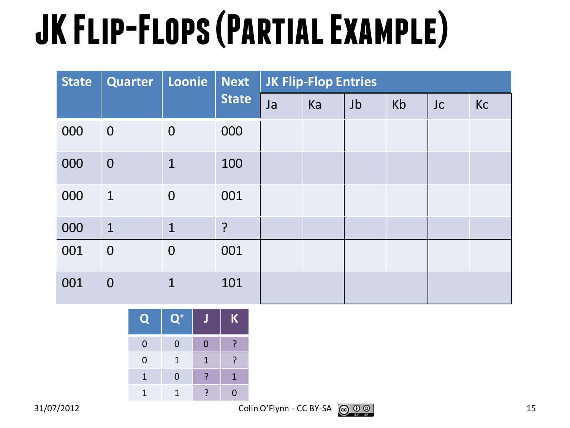## **JK Flip-Flops (Partial Example)**

| <b>State</b> | Quarter        | Loonie         | <b>Next</b>  |    | <b>JK Flip-Flop Entries</b> |    |    |    |    |
|--------------|----------------|----------------|--------------|----|-----------------------------|----|----|----|----|
|              |                |                | <b>State</b> | Ja | Ka                          | Jb | Kb | Jc | Kc |
| 000          | $\overline{0}$ | $\overline{0}$ | 000          |    |                             |    |    |    |    |
| 000          | $\overline{0}$ | $\mathbf{1}$   | 100          |    |                             |    |    |    |    |
| 000          | $\mathbf{1}$   | $\overline{0}$ | 001          |    |                             |    |    |    |    |
| 000          | $\mathbf{1}$   | $\mathbf{1}$   | $\cdot$      |    |                             |    |    |    |    |
| 001          | $\overline{0}$ | $\overline{0}$ | 001          |    |                             |    |    |    |    |
| 001          | $\overline{0}$ | $\mathbf 1$    | 101          |    |                             |    |    |    |    |

**Q Q+ J K** 0 0 0 ? 0 1 1 ? 1 0 ? 1 1 1 ? 0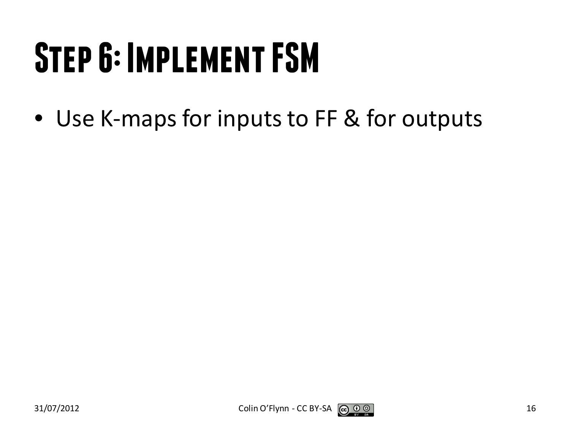## **Step 6: Implement FSM**

• Use K-maps for inputs to FF & for outputs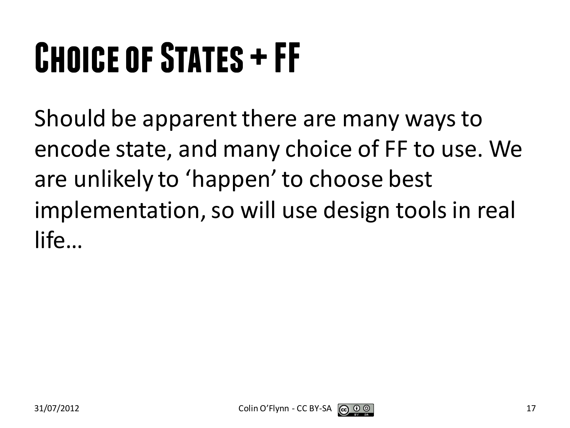## **Choice of States + FF**

Should be apparent there are many ways to encode state, and many choice of FF to use. We are unlikely to 'happen' to choose best implementation, so will use design tools in real life…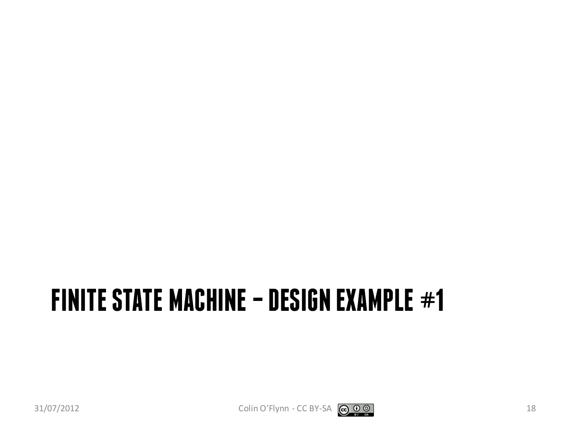#### **FINITE STATE MACHINE –DESIGN EXAMPLE #1**



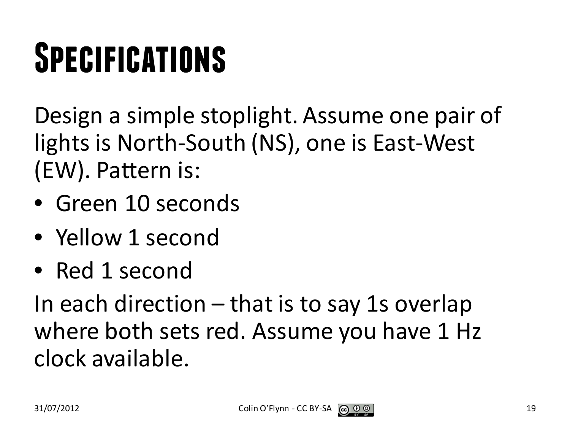## **Specifications**

Design a simple stoplight. Assume one pair of lights is North-South (NS), one is East-West (EW). Pattern is:

- Green 10 seconds
- Yellow 1 second
- Red 1 second

In each direction – that is to say 1s overlap where both sets red. Assume you have 1 Hz clock available.

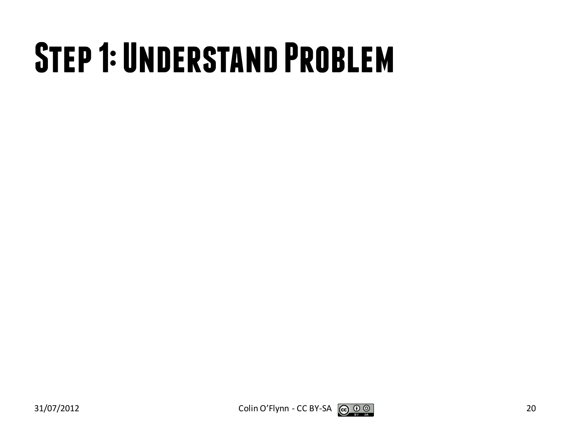#### **Step 1: Understand Problem**

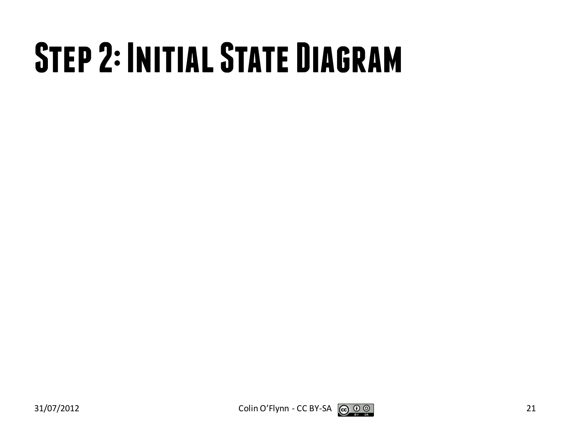## **Step 2: Initial State Diagram**



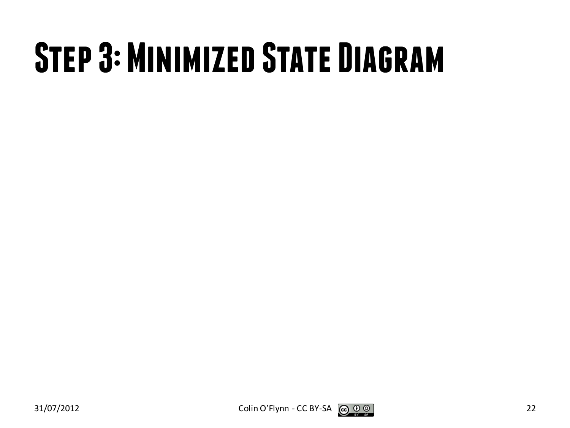## **Step 3: Minimized State Diagram**

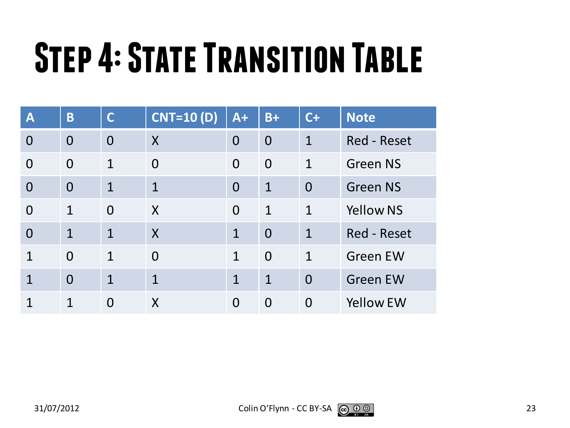## **Step 4: State Transition Table**

| $\overline{\mathsf{A}}$ | B              | $\overline{C}$ | <b>CNT=10 (D)</b> | $A+$           | $B+$           | $C+$           | <b>Note</b>        |
|-------------------------|----------------|----------------|-------------------|----------------|----------------|----------------|--------------------|
| $\overline{0}$          | $\overline{0}$ | $\overline{0}$ | X                 | $\overline{0}$ | $\overline{0}$ | $\mathbf{1}$   | <b>Red - Reset</b> |
| $\overline{0}$          | $\Omega$       | 1              | $\overline{0}$    | $\Omega$       | $\overline{0}$ | $\mathbf 1$    | <b>Green NS</b>    |
| $\overline{0}$          | $\Omega$       | $\mathbf{1}$   | $\mathbf{1}$      | $\Omega$       | $\mathbf{1}$   | $\overline{0}$ | <b>Green NS</b>    |
| $\Omega$                | $\mathbf{1}$   | $\Omega$       | X                 | $\overline{0}$ | $\mathbf{1}$   | $\mathbf{1}$   | <b>Yellow NS</b>   |
| $\overline{0}$          | $\mathbf{1}$   | 1              | $\boldsymbol{X}$  | $\overline{1}$ | $\overline{0}$ | $\mathbf{1}$   | <b>Red - Reset</b> |
| $\mathbf 1$             | $\Omega$       | 1              | $\Omega$          | $\mathbf{1}$   | $\Omega$       | $\mathbf{1}$   | <b>Green EW</b>    |
| $\mathbf 1$             | $\Omega$       | 1              | $\overline{1}$    | $\mathbf{1}$   | $\mathbf{1}$   | $\overline{0}$ | <b>Green EW</b>    |
|                         | 1              | $\Omega$       | X                 | $\Omega$       | $\overline{0}$ | $\overline{0}$ | <b>Yellow EW</b>   |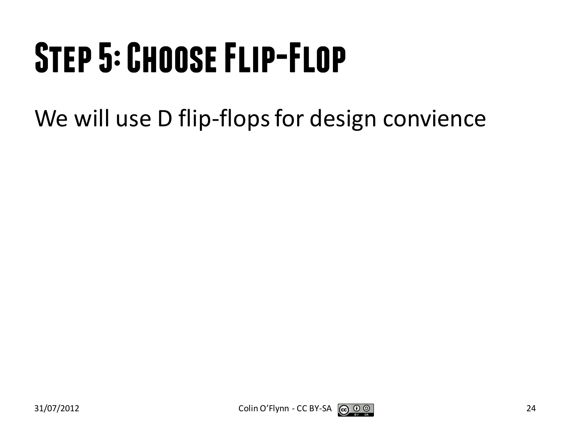## **Step 5: Choose Flip-Flop**

We will use D flip-flops for design convience

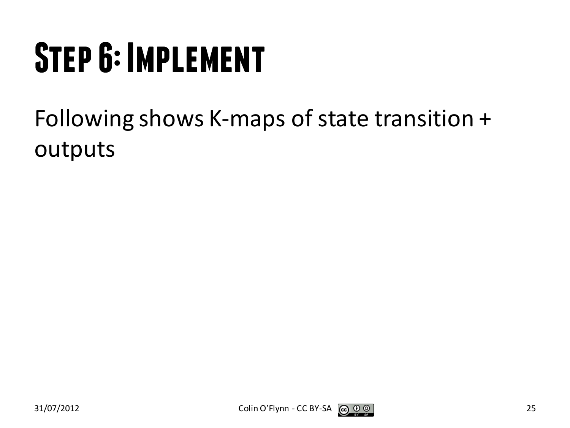## **Step 6: Implement**

Following shows K-maps of state transition + outputs



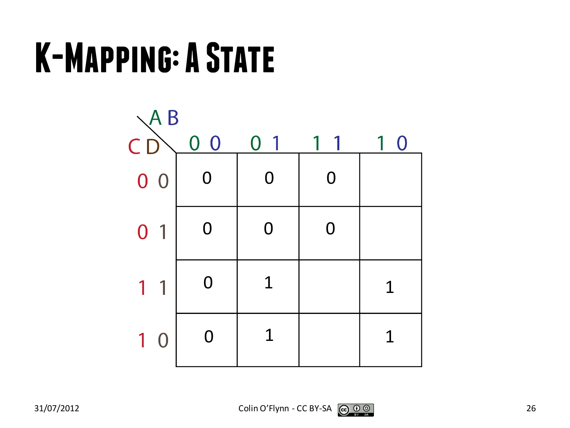#### **K-Mapping: A State**

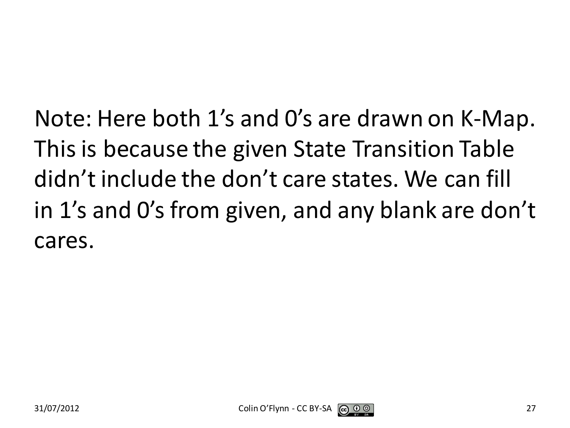Note: Here both 1's and 0's are drawn on K-Map. This is because the given State Transition Table didn't include the don't care states. We can fill in 1's and 0's from given, and any blank are don't cares.

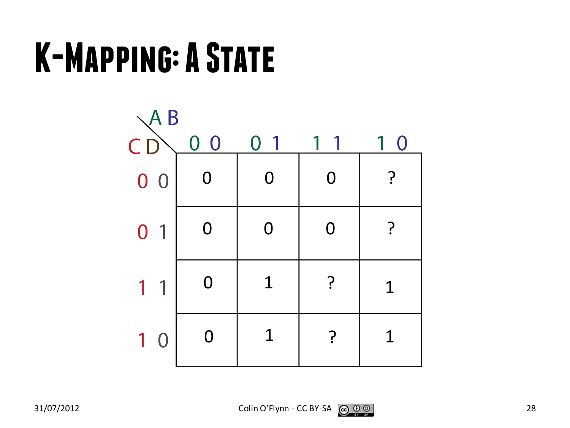#### **K-Mapping: A State**

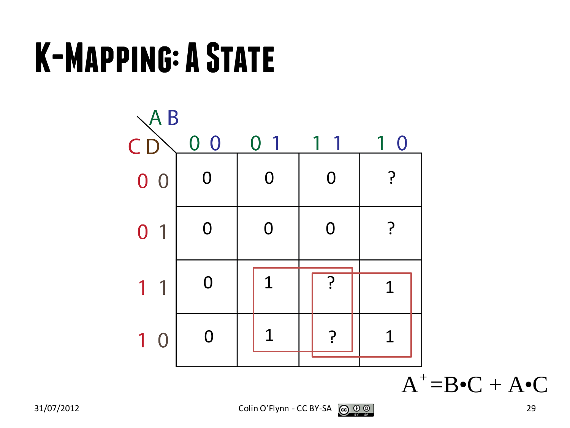#### **K-Mapping: A State**



 $A^+ = B \bullet C + A \bullet C$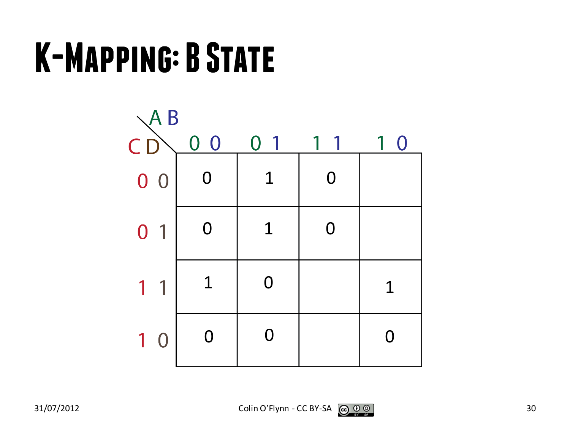#### **K-Mapping: B State**

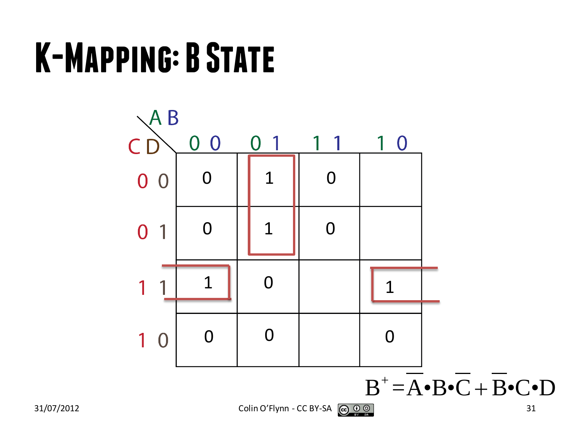#### **K-Mapping: B State**



 $B^+ = \overline{A} \cdot \overline{B} \cdot \overline{C} + \overline{B} \cdot \overline{C} \cdot D$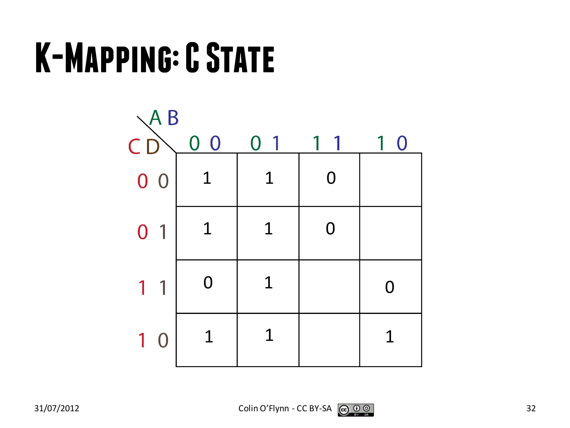#### **K-Mapping: C State**

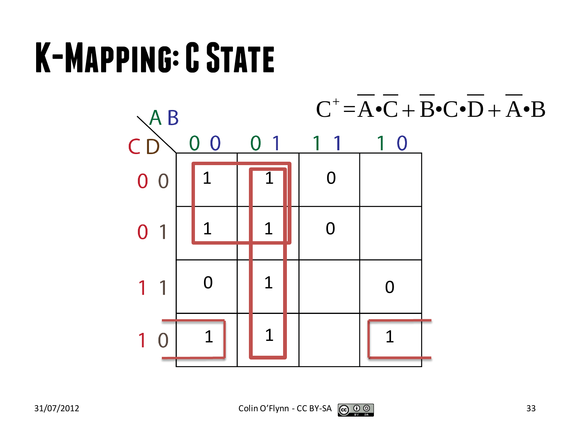#### **K-Mapping: C State**

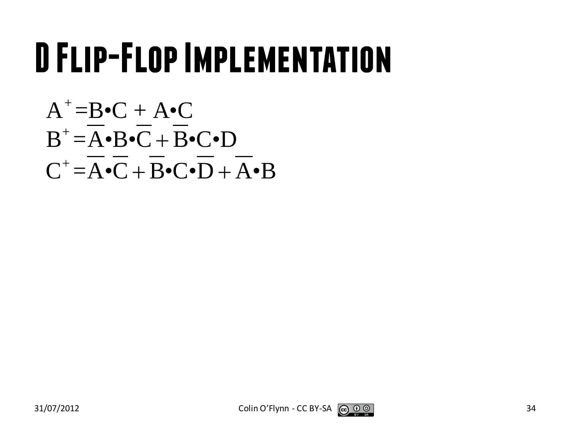#### **D Flip-Flop Implementation**

$$
A^+=B\bullet C + A\bullet C
$$
  
\n
$$
B^+=\overline{A}\bullet B\bullet \overline{C} + \overline{B}\bullet C\bullet D
$$
  
\n
$$
C^+=\overline{A}\bullet \overline{C} + \overline{B}\bullet C\bullet \overline{D} + \overline{A}\bullet B
$$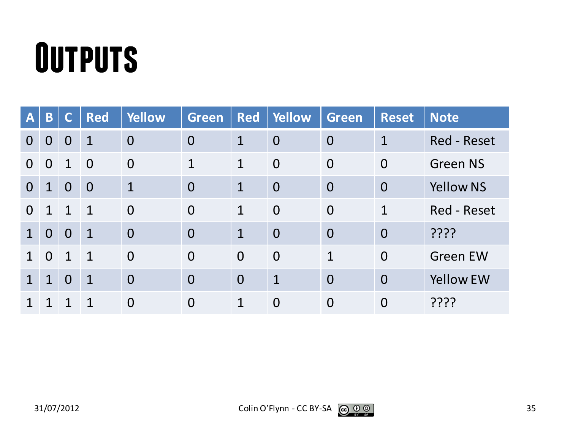#### **Outputs**

| $\mathbf{A}$   | B              | C              | <b>Red</b>     | <b>Yellow</b>  | Green          | <b>Red</b>     | Yellow         | Green          | <b>Reset</b>   | <b>Note</b>        |
|----------------|----------------|----------------|----------------|----------------|----------------|----------------|----------------|----------------|----------------|--------------------|
| $\Omega$       | $\overline{0}$ | $\overline{0}$ | $\mathbf 1$    | $\overline{0}$ | $\overline{0}$ | $\mathbf 1$    | $\overline{0}$ | $\overline{0}$ | $\mathbf 1$    | <b>Red - Reset</b> |
| $\Omega$       | $\overline{0}$ | $\mathbf{1}$   | $\overline{0}$ | $\overline{0}$ | $\mathbf 1$    | $\mathbf 1$    | $\overline{0}$ | $\overline{0}$ | $\overline{0}$ | <b>Green NS</b>    |
| $\overline{0}$ | $\mathbf{1}$   | $\overline{0}$ | $\overline{0}$ | $\mathbf{1}$   | $\overline{0}$ | $\mathbf{1}$   | $\overline{0}$ | $\overline{0}$ | $\overline{0}$ | <b>Yellow NS</b>   |
| $\Omega$       | $\mathbf 1$    | $\mathbf{1}$   | $\overline{1}$ | $\overline{0}$ | $\overline{0}$ | $\mathbf{1}$   | $\overline{0}$ | $\overline{0}$ | 1              | Red - Reset        |
| $\mathbf 1$    | $\overline{0}$ | $\overline{0}$ | $\mathbf{1}$   | $\overline{0}$ | $\overline{0}$ | $\mathbf{1}$   | $\overline{0}$ | $\overline{0}$ | $\overline{0}$ | ????               |
|                | $\Omega$       | $\mathbf 1$    | $\mathbf{1}$   | $\overline{0}$ | $\overline{0}$ | $\Omega$       | $\overline{0}$ | $\mathbf{1}$   | $\overline{0}$ | <b>Green EW</b>    |
| $\mathbf 1$    | $\mathbf{1}$   | $\overline{0}$ | $\mathbf{1}$   | $\overline{0}$ | $\overline{0}$ | $\overline{0}$ | $\mathbf 1$    | $\overline{0}$ | $\overline{0}$ | <b>Yellow EW</b>   |
|                |                |                | 1              | $\overline{0}$ | $\overline{0}$ | $\mathbf 1$    | $\overline{0}$ | $\overline{0}$ | $\overline{0}$ | ????               |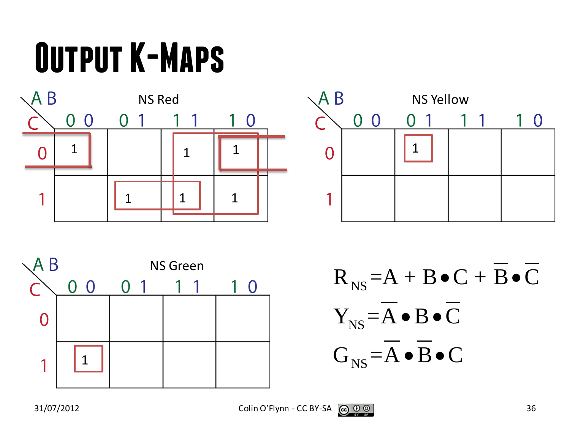## **Output K-Maps**







 $R_{NS} = A + B \bullet C + B \bullet C$ NS NS  $Y_{NS} = A \bullet B \bullet C$  $G_{NS} = A \bullet B \bullet C$  $\bullet$  B $\bullet$  $\bullet$  B $\bullet$ 

 $31/07/2012$  Colin O'Flynn - CC BY-SA  $\bigcirc \limits_{\mathcal{R}} \mathcal{O} \ \circ \limits_{\mathcal{R}} \mathcal{O}$  36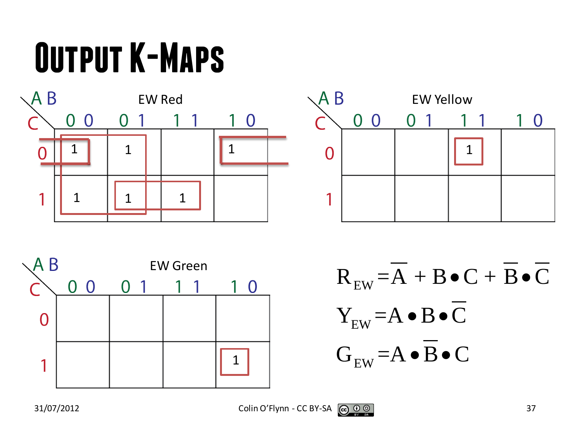## **Output K-Maps**







EW EW EW  $\rm R^{}_{\rm EW}\texttt{=}A\texttt{+}B\texttt{-}C\texttt{+}B\texttt{-}C$  ${\rm Y}_{_{\rm EW}}$   $=$  A  $\bullet$  B  $\bullet$  C  $G_{\text{EW}}$  = A  $\bullet$  B  $\bullet$  C  $\bullet C + B \bullet$  $\bullet$  B $\bullet$  $\bullet$  B $\bullet$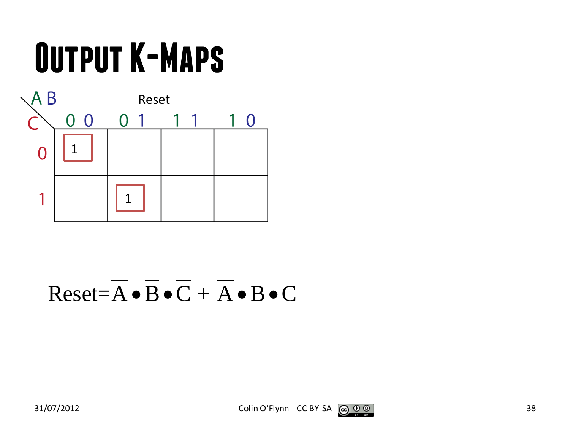## **Output K-Maps**



#### $Reset = \overline{A} \cdot \overline{B} \cdot \overline{C} + \overline{A} \cdot B \cdot C$

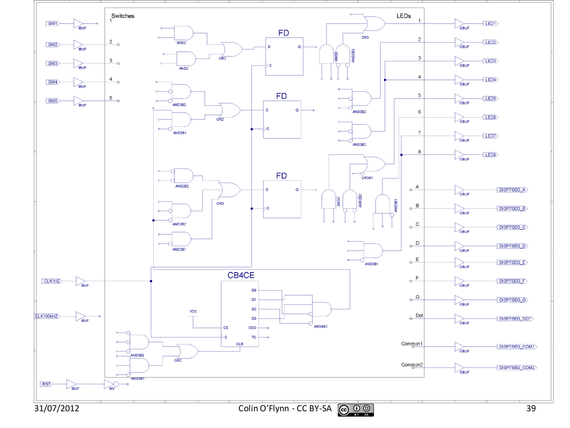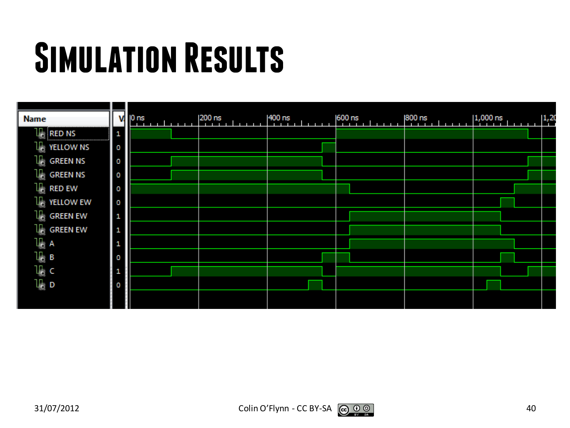### **Simulation Results**

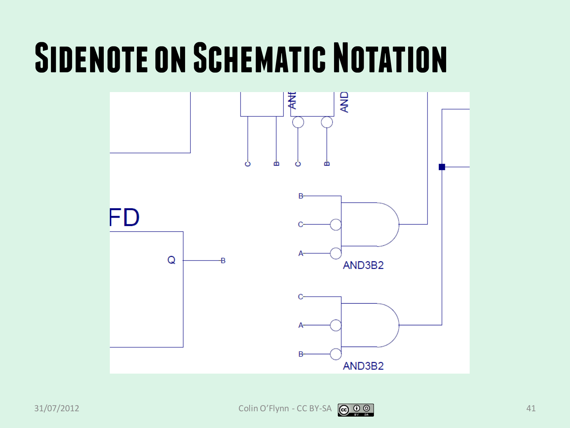#### **SIDENOTE ON SCHEMATIC NOTATION**



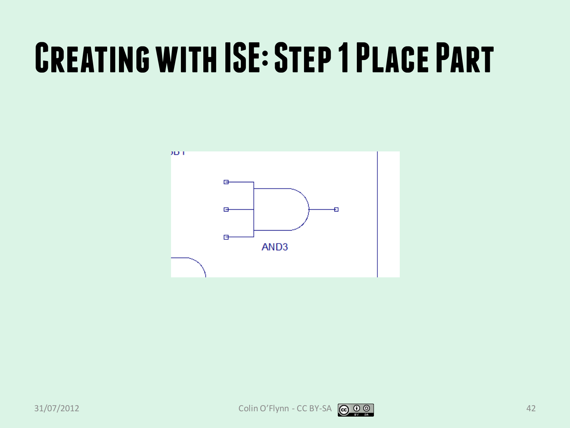#### **Creating with ISE: Step 1 Place Part**

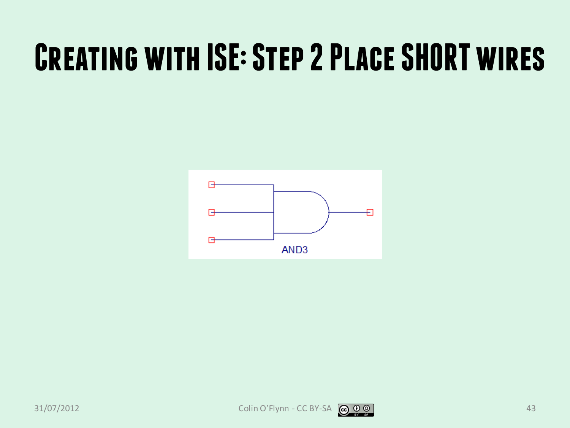#### **Creating with ISE: Step 2 Place SHORT wires**

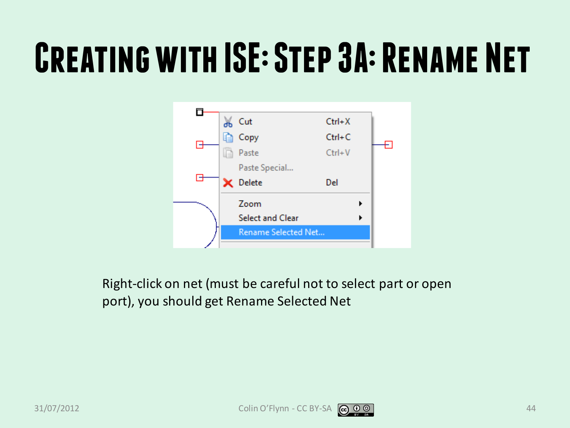#### **Creating with ISE: Step 3A: Rename Net**



Right-click on net (must be careful not to select part or open port), you should get Rename Selected Net

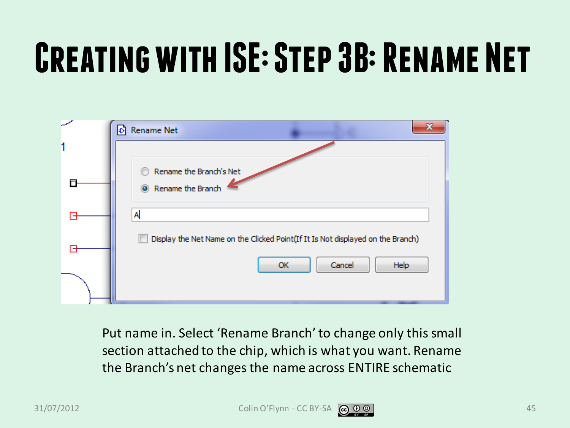## **Creating with ISE: Step 3B: Rename Net**

| D Rename Net                                                                    |
|---------------------------------------------------------------------------------|
|                                                                                 |
| Rename the Branch's Net                                                         |
| Rename the Branch                                                               |
| A                                                                               |
| Display the Net Name on the Clicked Point(If It Is Not displayed on the Branch) |
| Cancel<br>Help<br>OK                                                            |
|                                                                                 |

Put name in. Select 'Rename Branch' to change only this small section attached to the chip, which is what you want. Rename the Branch's net changes the name across ENTIRE schematic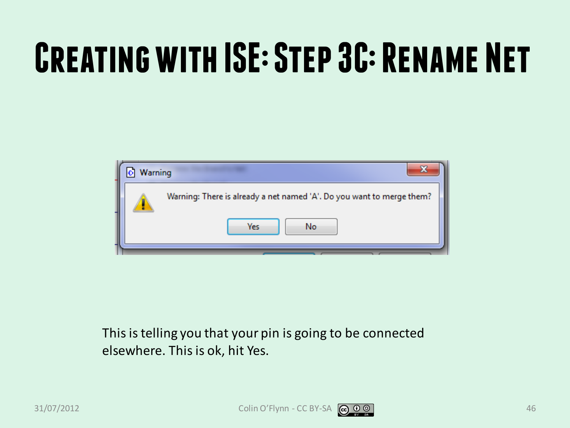## **Creating with ISE: Step 3C: Rename Net**



This is telling you that your pin is going to be connected elsewhere. This is ok, hit Yes.

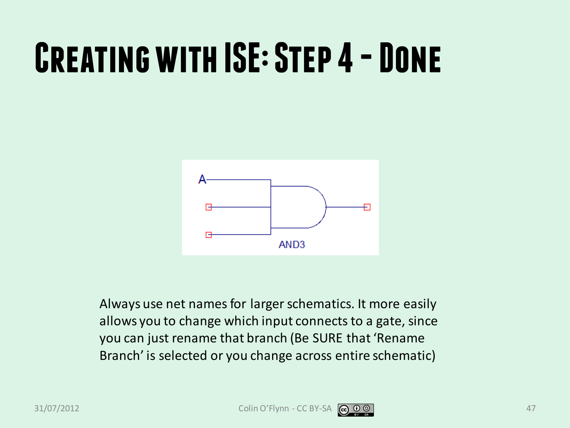#### **CREATING WITH ISE: STEP 4 - DONE**



Always use net names for larger schematics. It more easily allows you to change which input connects to a gate, since you can just rename that branch (Be SURE that 'Rename Branch' is selected or you change across entire schematic)



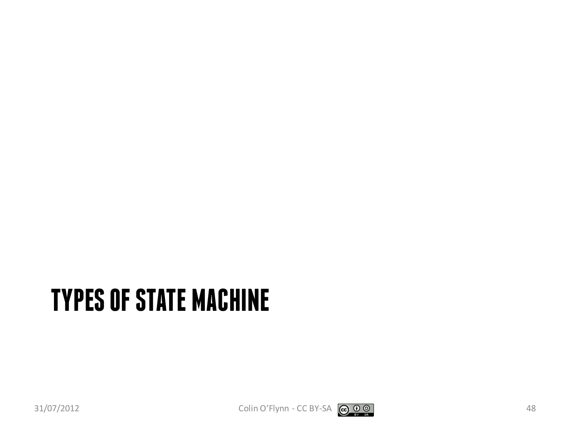#### **TYPES OF STATE MACHINE**

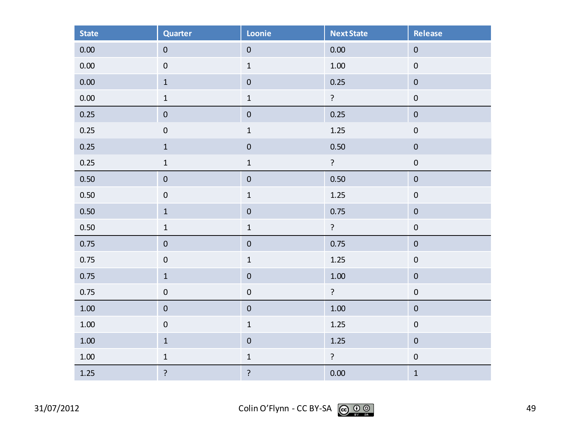| <b>State</b> | <b>Quarter</b>   | Loonie         | <b>Next State</b> | Release          |
|--------------|------------------|----------------|-------------------|------------------|
| $0.00\,$     | $\pmb{0}$        | $\pmb{0}$      | 0.00              | $\boldsymbol{0}$ |
| 0.00         | $\mathbf 0$      | $\mathbf 1$    | $1.00\,$          | $\pmb{0}$        |
| $0.00\,$     | $\mathbf 1$      | $\pmb{0}$      | 0.25              | $\pmb{0}$        |
| 0.00         | $\mathbf 1$      | $\mathbf 1$    | $\mathbf{S}$      | $\boldsymbol{0}$ |
| 0.25         | $\pmb{0}$        | $\pmb{0}$      | 0.25              | $\pmb{0}$        |
| 0.25         | $\boldsymbol{0}$ | $\mathbf 1$    | 1.25              | $\pmb{0}$        |
| 0.25         | $\mathbf 1$      | $\pmb{0}$      | 0.50              | $\pmb{0}$        |
| 0.25         | $\mathbf 1$      | $\mathbf 1$    | $\mathbf{S}$      | $\boldsymbol{0}$ |
| 0.50         | $\pmb{0}$        | $\pmb{0}$      | 0.50              | $\boldsymbol{0}$ |
| 0.50         | $\boldsymbol{0}$ | $\mathbf 1$    | 1.25              | $\boldsymbol{0}$ |
| 0.50         | $\mathbf 1$      | $\pmb{0}$      | 0.75              | $\boldsymbol{0}$ |
| 0.50         | $\mathbf 1$      | $\mathbf 1$    | $\mathbf{S}$      | $\boldsymbol{0}$ |
| 0.75         | $\pmb{0}$        | $\pmb{0}$      | 0.75              | $\pmb{0}$        |
| 0.75         | $\boldsymbol{0}$ | $\mathbf 1$    | 1.25              | $\boldsymbol{0}$ |
| 0.75         | $\,1\,$          | $\pmb{0}$      | $1.00\,$          | $\pmb{0}$        |
| 0.75         | $\pmb{0}$        | $\pmb{0}$      | ?                 | $\pmb{0}$        |
| $1.00\,$     | $\pmb{0}$        | $\pmb{0}$      | $1.00\,$          | $\boldsymbol{0}$ |
| $1.00\,$     | $\pmb{0}$        | $\mathbf 1$    | 1.25              | $\boldsymbol{0}$ |
| $1.00\,$     | $\mathbf 1$      | $\pmb{0}$      | 1.25              | $\pmb{0}$        |
| $1.00\,$     | $\mathbf 1$      | $\mathbf 1$    | $\mathbf{S}$      | $\pmb{0}$        |
| $1.25$       | ?                | $\overline{?}$ | 0.00              | $\mathbf{1}$     |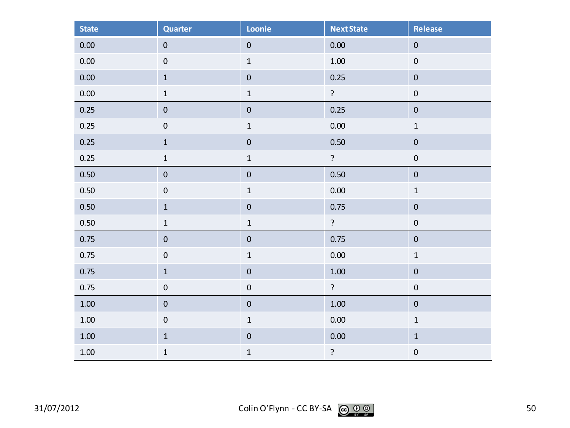| <b>State</b> | <b>Quarter</b>   | Loonie           | <b>Next State</b> | <b>Release</b>   |
|--------------|------------------|------------------|-------------------|------------------|
| 0.00         | $\pmb{0}$        | $\pmb{0}$        | 0.00              | $\pmb{0}$        |
| $0.00\,$     | $\pmb{0}$        | $\mathbf 1$      | $1.00\,$          | $\pmb{0}$        |
| 0.00         | $\mathbf 1$      | $\pmb{0}$        | 0.25              | $\pmb{0}$        |
| 0.00         | $\mathbf 1$      | $\mathbf 1$      | $\overline{?}$    | $\pmb{0}$        |
| 0.25         | $\boldsymbol{0}$ | $\pmb{0}$        | 0.25              | $\pmb{0}$        |
| 0.25         | $\boldsymbol{0}$ | $\mathbf 1$      | 0.00              | $\mathbf 1$      |
| 0.25         | $\mathbf 1$      | $\pmb{0}$        | 0.50              | $\pmb{0}$        |
| 0.25         | $\mathbf 1$      | $\mathbf 1$      | ?                 | $\pmb{0}$        |
| 0.50         | $\pmb{0}$        | $\boldsymbol{0}$ | 0.50              | $\boldsymbol{0}$ |
| 0.50         | $\boldsymbol{0}$ | $\mathbf 1$      | 0.00              | $\mathbf 1$      |
| 0.50         | $\mathbf 1$      | $\pmb{0}$        | 0.75              | $\pmb{0}$        |
| 0.50         | $\mathbf 1$      | $\mathbf 1$      | $\tilde{.}$       | $\pmb{0}$        |
| 0.75         | $\pmb{0}$        | $\pmb{0}$        | 0.75              | $\pmb{0}$        |
| 0.75         | $\mathbf 0$      | $\mathbf 1$      | 0.00              | $\mathbf 1$      |
| 0.75         | $\mathbf 1$      | $\pmb{0}$        | $1.00\,$          | $\pmb{0}$        |
| 0.75         | $\boldsymbol{0}$ | $\pmb{0}$        | $\ddot{?}$        | $\pmb{0}$        |
| $1.00\,$     | $\pmb{0}$        | $\pmb{0}$        | $1.00\,$          | $\pmb{0}$        |
| $1.00\,$     | $\pmb{0}$        | $\mathbf 1$      | 0.00              | $\mathbf 1$      |
| $1.00\,$     | $\mathbf 1$      | $\pmb{0}$        | 0.00              | $\mathbf 1$      |
| $1.00\,$     | $\mathbf 1$      | $\mathbf 1$      | $\overline{?}$    | $\boldsymbol{0}$ |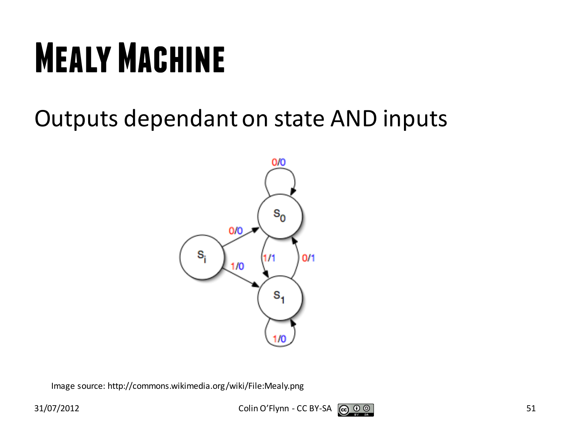## **Mealy Machine**

#### Outputs dependant on state AND inputs



Image source: http://commons.wikimedia.org/wiki/File:Mealy.png

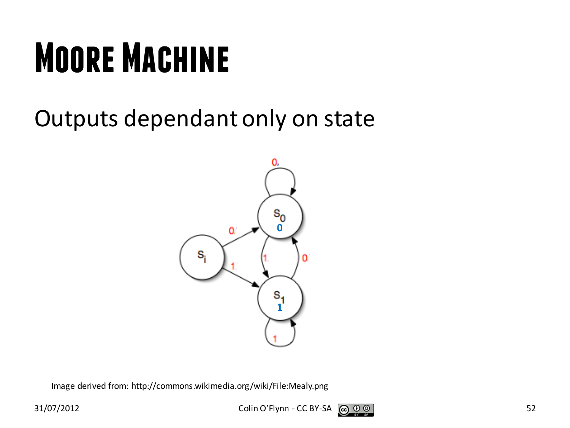## **Moore Machine**

#### Outputs dependant only on state



Image derived from: http://commons.wikimedia.org/wiki/File:Mealy.png

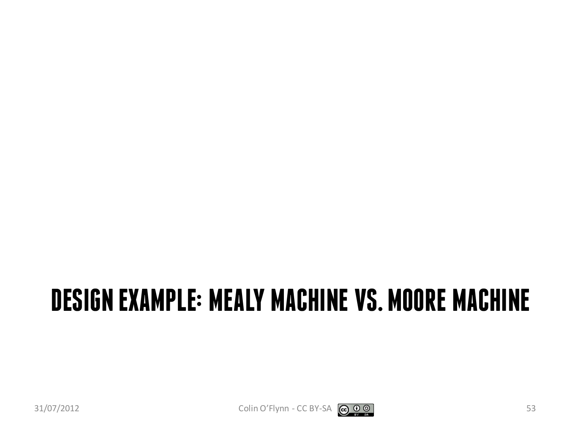#### **DESIGN EXAMPLE: MEALY MACHINE VS. MOORE MACHINE**



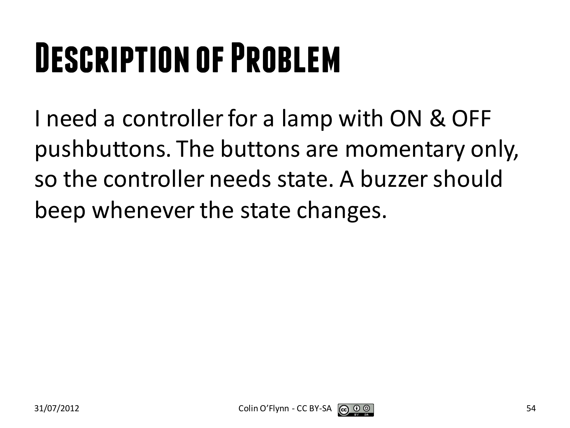## **Description of Problem**

I need a controller for a lamp with ON & OFF pushbuttons. The buttons are momentary only, so the controller needs state. A buzzer should beep whenever the state changes.

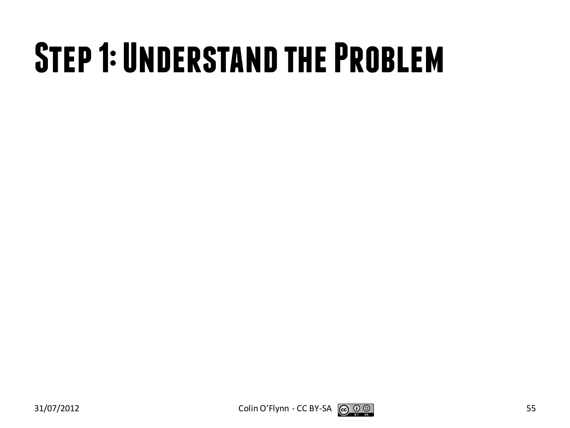#### **Step 1: Understand the Problem**



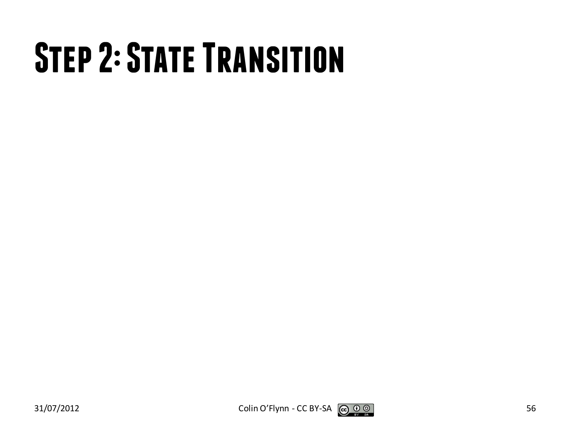## **STEP 2: STATE TRANSITION**



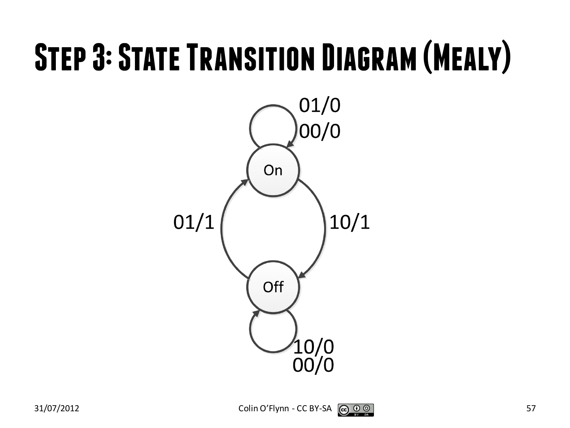#### **Step 3: State Transition Diagram (Mealy)**



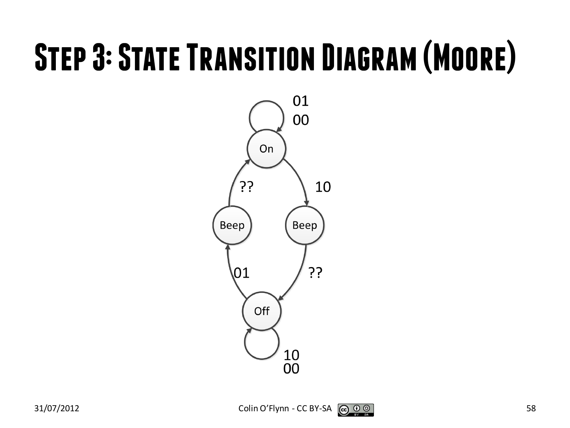#### **Step 3: State Transition Diagram (Moore)**



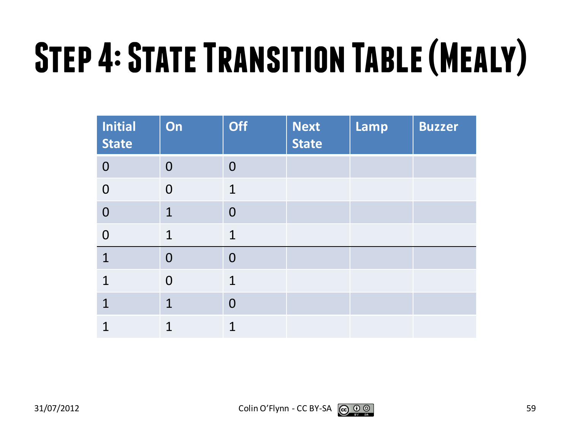# **Step 4: State Transition Table (Mealy)**

| <b>Initial</b><br><b>State</b> | On             | <b>Off</b>     | <b>Next</b><br><b>State</b> | Lamp | <b>Buzzer</b> |
|--------------------------------|----------------|----------------|-----------------------------|------|---------------|
| $\overline{0}$                 | $\overline{0}$ | $\overline{0}$ |                             |      |               |
| $\overline{0}$                 | $\overline{0}$ | $\mathbf{1}$   |                             |      |               |
| $\overline{0}$                 | $\mathbf 1$    | $\overline{0}$ |                             |      |               |
| $\overline{0}$                 | $\mathbf 1$    | $\mathbf{1}$   |                             |      |               |
| $\mathbf{1}$                   | $\overline{0}$ | $\overline{0}$ |                             |      |               |
| $\mathbf 1$                    | $\overline{0}$ | $\mathbf{1}$   |                             |      |               |
| $\mathbf 1$                    | $\mathbf 1$    | $\overline{0}$ |                             |      |               |
| 1                              | 1              | 1              |                             |      |               |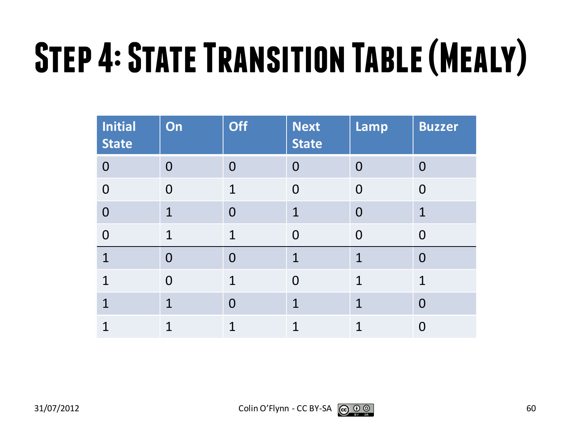# **Step 4: State Transition Table (Mealy)**

| <b>Initial</b><br><b>State</b> | On             | <b>Off</b>     | <b>Next</b><br><b>State</b> | Lamp           | <b>Buzzer</b>  |
|--------------------------------|----------------|----------------|-----------------------------|----------------|----------------|
| $\overline{0}$                 | $\overline{0}$ | $\overline{0}$ | $\Omega$                    | $\overline{0}$ | $\overline{0}$ |
| $\overline{0}$                 | $\overline{0}$ | $\mathbf{1}$   | $\overline{0}$              | $\overline{0}$ | $\overline{0}$ |
| $\overline{0}$                 | $\mathbf 1$    | $\overline{0}$ | $\mathbf 1$                 | $\overline{0}$ | $\mathbf 1$    |
| $\overline{0}$                 | $\mathbf 1$    | $\mathbf 1$    | $\overline{0}$              | $\overline{0}$ | $\overline{0}$ |
| $\mathbf{1}$                   | $\overline{0}$ | $\overline{0}$ | $\mathbf{1}$                | $\mathbf{1}$   | $\overline{0}$ |
| 1                              | $\overline{0}$ | $\mathbf{1}$   | $\overline{0}$              | $\mathbf 1$    | $\mathbf{1}$   |
| $\overline{1}$                 | $\mathbf{1}$   | $\overline{0}$ | $\mathbf{1}$                | $\mathbf{1}$   | $\overline{0}$ |
| 1                              | 1              | 1              | 1                           | 1              | 0              |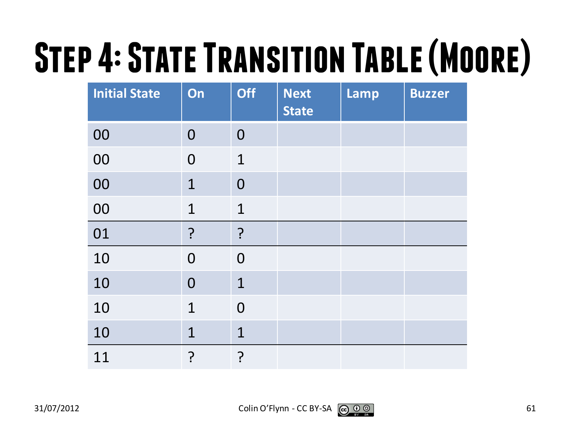# **Step 4: State Transition Table (Moore)**

| <b>Initial State</b> | On             | <b>Off</b>     | <b>Next</b><br><b>State</b> | Lamp | <b>Buzzer</b> |
|----------------------|----------------|----------------|-----------------------------|------|---------------|
| 00                   | $\overline{0}$ | $\overline{0}$ |                             |      |               |
| 00                   | $\overline{0}$ | $\mathbf{1}$   |                             |      |               |
| 00                   | $\mathbf{1}$   | $\overline{0}$ |                             |      |               |
| 00                   | $\mathbf{1}$   | $\mathbf 1$    |                             |      |               |
| 01                   | $\overline{?}$ | ?              |                             |      |               |
| 10                   | $\overline{0}$ | $\overline{0}$ |                             |      |               |
| 10                   | $\overline{0}$ | $\mathbf 1$    |                             |      |               |
| 10                   | $\mathbf{1}$   | $\overline{0}$ |                             |      |               |
| 10                   | $\mathbf 1$    | $\mathbf 1$    |                             |      |               |
| 11                   | ?              | ?              |                             |      |               |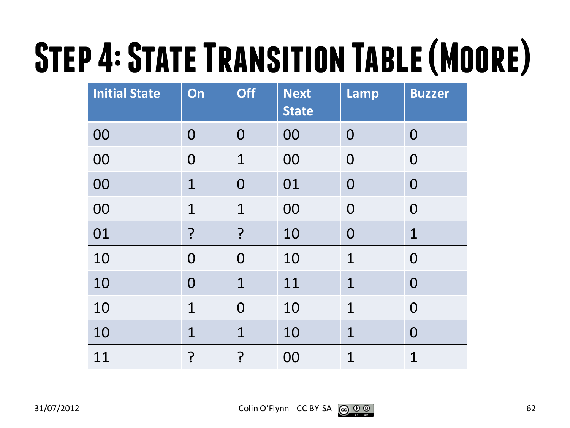# **Step 4: State Transition Table (Moore)**

| <b>Initial State</b> | On             | <b>Off</b>     | <b>Next</b><br><b>State</b> | Lamp           | <b>Buzzer</b>  |
|----------------------|----------------|----------------|-----------------------------|----------------|----------------|
| 00                   | $\overline{0}$ | $\overline{0}$ | 00                          | $\overline{0}$ | $\bf{0}$       |
| 00                   | $\overline{0}$ | $\mathbf{1}$   | 00                          | $\overline{0}$ | $\overline{0}$ |
| 00                   | $\overline{1}$ | $\overline{0}$ | 01                          | $\overline{0}$ | $\overline{0}$ |
| 00                   | $\overline{1}$ | $\mathbf 1$    | 00                          | $\mathbf 0$    | $\overline{0}$ |
| 01                   | ?              | ?              | 10                          | $\overline{0}$ | $\mathbf 1$    |
| 10                   | $\overline{0}$ | $\overline{0}$ | 10                          | $\mathbf 1$    | $\overline{0}$ |
| 10                   | $\overline{0}$ | $\mathbf 1$    | 11                          | 1              | $\overline{0}$ |
| 10                   | $\overline{1}$ | $\overline{0}$ | 10                          | $\overline{1}$ | $\overline{0}$ |
| 10                   | $\overline{1}$ | $\mathbf 1$    | 10                          | $\mathbf 1$    | $\overline{0}$ |
| 11                   | <u>م:</u>      | ?<br>:         | 00                          | $\overline{1}$ | $\mathbf 1$    |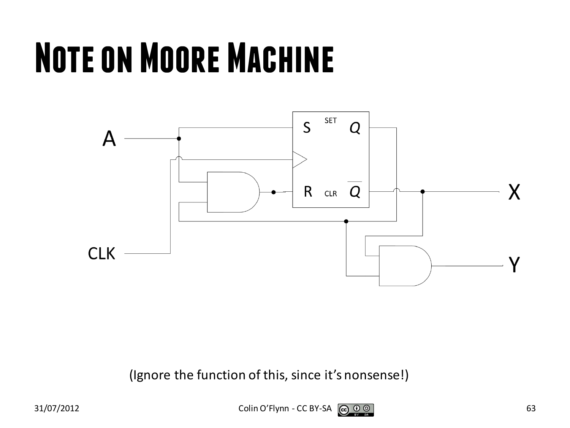### **Note on Moore Machine**



(Ignore the function of this, since it's nonsense!)

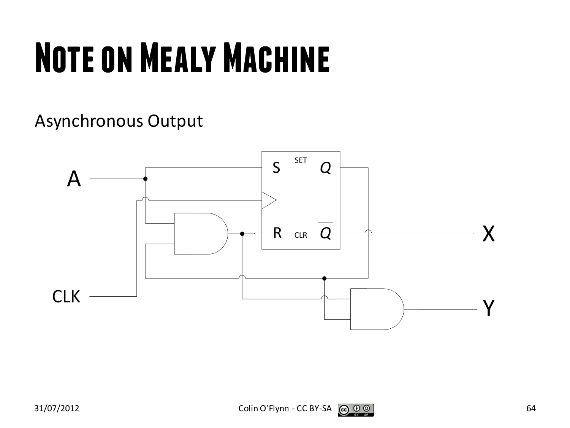## **Note on Mealy Machine**

Asynchronous Output

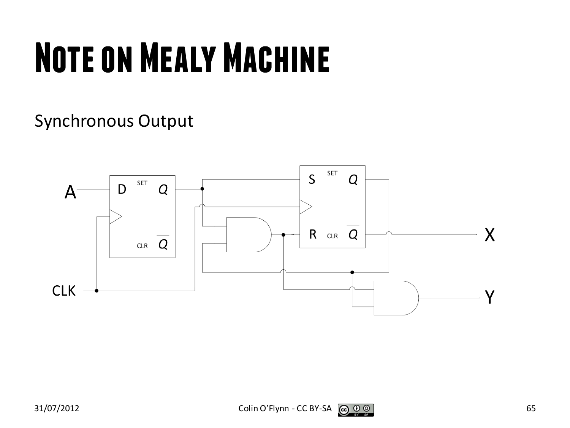## **Note on Mealy Machine**

#### Synchronous Output

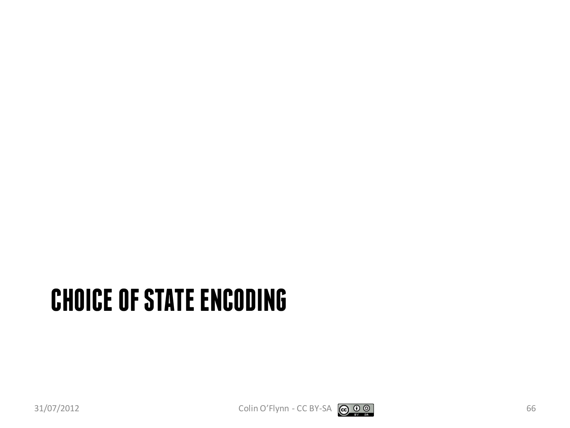#### **CHOICE OF STATE ENCODING**

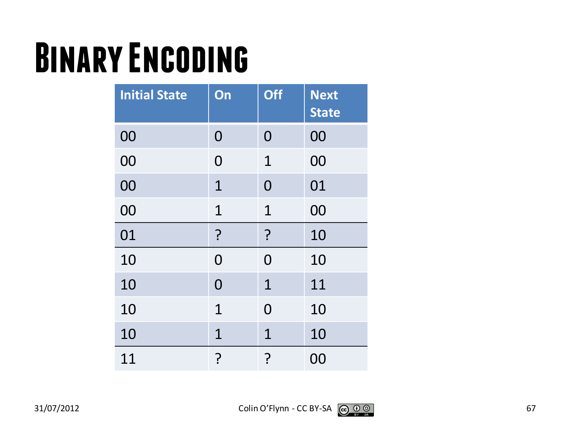#### **Binary Encoding**

| <b>Initial State</b> | On             | <b>Off</b>     | <b>Next</b><br><b>State</b> |
|----------------------|----------------|----------------|-----------------------------|
| 00                   | 0              | $\overline{0}$ | 00                          |
| 00                   | 0              | 1              | 00                          |
| 00                   | $\mathbf 1$    | $\overline{0}$ | 01                          |
| 00                   | $\mathbf 1$    | $\mathbf 1$    | 00                          |
| 01                   | ?              | ?              | 10                          |
| 10                   | $\overline{0}$ | 0              | 10                          |
| 10                   | $\overline{0}$ | $\mathbf{1}$   | 11                          |
| 10                   | $\mathbf 1$    | $\overline{0}$ | 10                          |
| 10                   | $\mathbf{1}$   | $\mathbf{1}$   | 10                          |
| 11                   | ?              | <u>?</u>       | 00                          |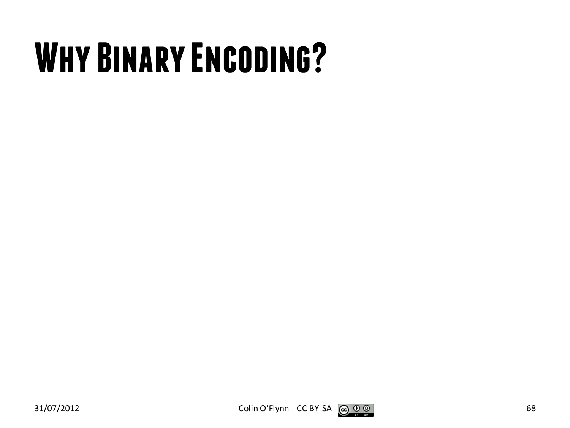### **Why Binary Encoding?**



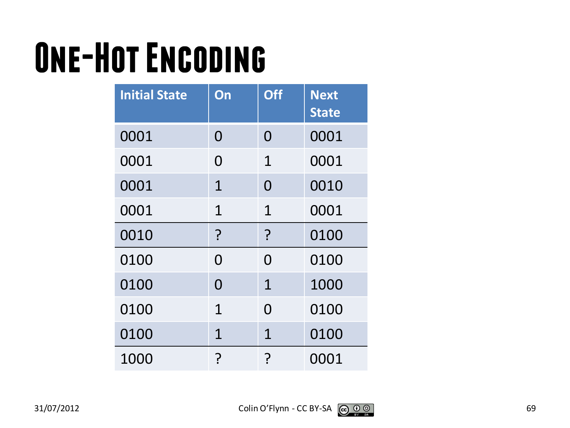## **One-Hot Encoding**

| <b>Initial State</b> | On           | <b>Off</b>     | <b>Next</b><br><b>State</b> |
|----------------------|--------------|----------------|-----------------------------|
| 0001                 | 0            | 0              | 0001                        |
| 0001                 | O            | $\mathbf{1}$   | 0001                        |
| 0001                 | $\mathbf 1$  | $\overline{0}$ | 0010                        |
| 0001                 | $\mathbf{1}$ | $\mathbf 1$    | 0001                        |
| 0010                 | ?            | ?              | 0100                        |
| 0100                 | 0            | 0              | 0100                        |
| 0100                 | 0            | $\mathbf{1}$   | 1000                        |
| 0100                 | $\mathbf 1$  | $\Omega$       | 0100                        |
| 0100                 | $\mathbf 1$  | $\mathbf{1}$   | 0100                        |
| 1000                 | ?            | Ç              | 0001                        |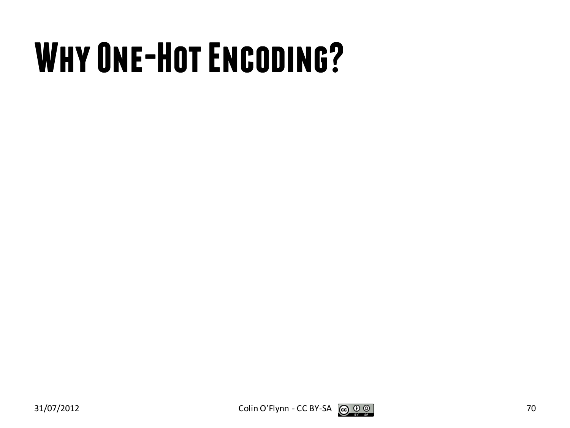## **Why One-Hot Encoding?**



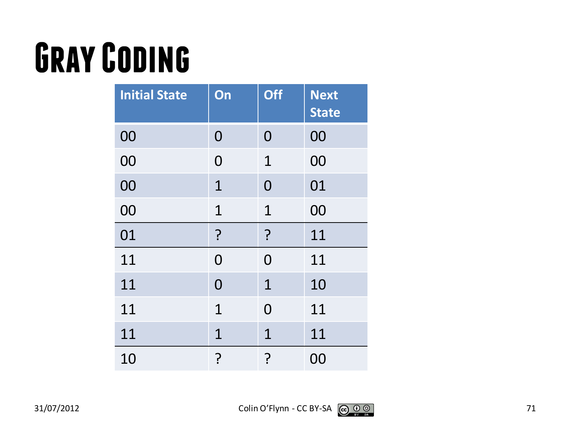## **Gray Coding**

| <b>Initial State</b> | On             | <b>Off</b>     | <b>Next</b><br><b>State</b> |
|----------------------|----------------|----------------|-----------------------------|
| 00                   | $\overline{0}$ | 0              | 00                          |
| 00                   | $\overline{0}$ | $\mathbf 1$    | 00                          |
| 00                   | $\mathbf 1$    | $\overline{0}$ | 01                          |
| 00                   | $\mathbf{1}$   | $\mathbf{1}$   | 00                          |
| 01                   | ?              | ?              | 11                          |
| 11                   | $\overline{0}$ | 0              | 11                          |
| 11                   | $\overline{0}$ | $\mathbf{1}$   | 10                          |
| 11                   | $\mathbf{1}$   | $\overline{0}$ | 11                          |
| 11                   | $\mathbf 1$    | $\mathbf{1}$   | 11                          |
| 10                   | ?              | <u>?</u>       | 00                          |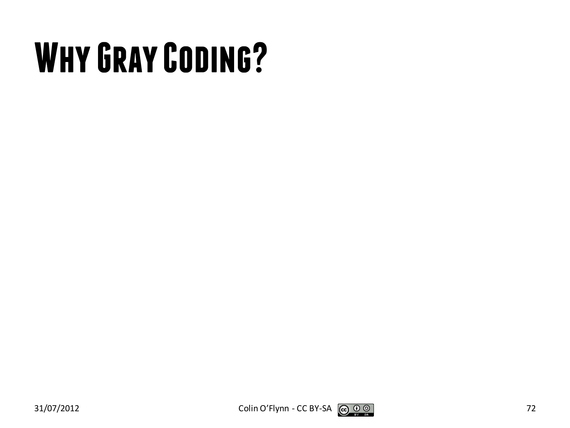## **Why Gray Coding?**